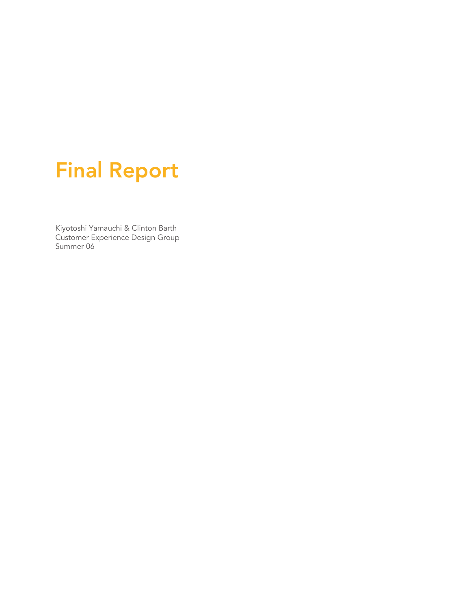# Final Report

Kiyotoshi Yamauchi & Clinton Barth Customer Experience Design Group Summer 06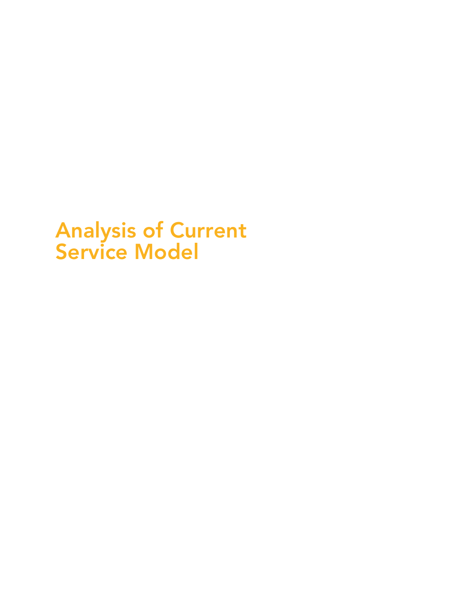# Analysis of Current Service Model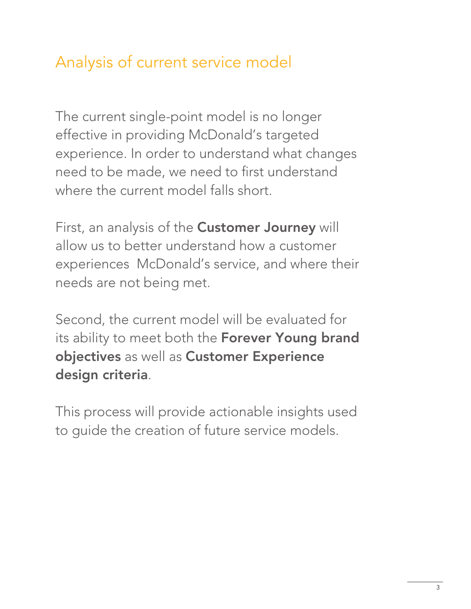## Analysis of current service model

The current single-point model is no longer effective in providing McDonald's targeted experience. In order to understand what changes need to be made, we need to first understand where the current model falls short.

First, an analysis of the **Customer Journey** will allow us to better understand how a customer experiences McDonald's service, and where their needs are not being met.

Second, the current model will be evaluated for its ability to meet both the Forever Young brand objectives as well as Customer Experience design criteria.

This process will provide actionable insights used to guide the creation of future service models.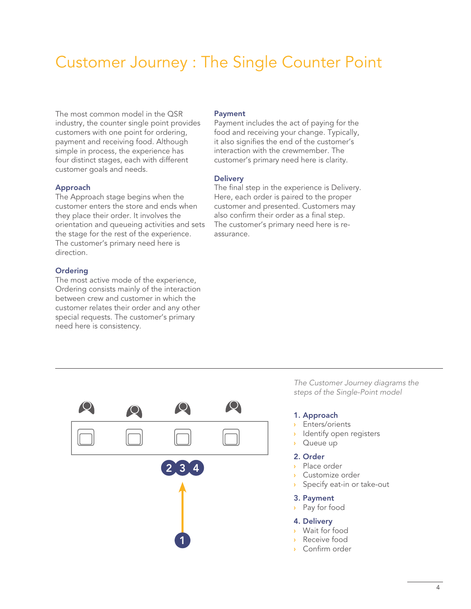## Customer Journey : The Single Counter Point

The most common model in the QSR industry, the counter single point provides customers with one point for ordering, payment and receiving food. Although simple in process, the experience has four distinct stages, each with different customer goals and needs.

### Approach

The Approach stage begins when the customer enters the store and ends when they place their order. It involves the orientation and queueing activities and sets the stage for the rest of the experience. The customer's primary need here is direction.

#### **Ordering**

The most active mode of the experience, Ordering consists mainly of the interaction between crew and customer in which the customer relates their order and any other special requests. The customer's primary need here is consistency.

#### Payment

Payment includes the act of paying for the food and receiving your change. Typically, it also signifies the end of the customer's interaction with the crewmember. The customer's primary need here is clarity.

#### **Delivery**

The final step in the experience is Delivery. Here, each order is paired to the proper customer and presented. Customers may also confirm their order as a final step. The customer's primary need here is reassurance.



*The Customer Journey diagrams the steps of the Single-Point model*

#### 1. Approach

- Enters/orients **›**
- Identify open registers **›**
- Queue up **›**

### 2. Order

- Place order **›**
- Customize order **›**
- Specify eat-in or take-out **›**

#### 3. Payment

Pay for food **›**

#### 4. Delivery

- Wait for food **›**
- Receive food **›**
- Confirm order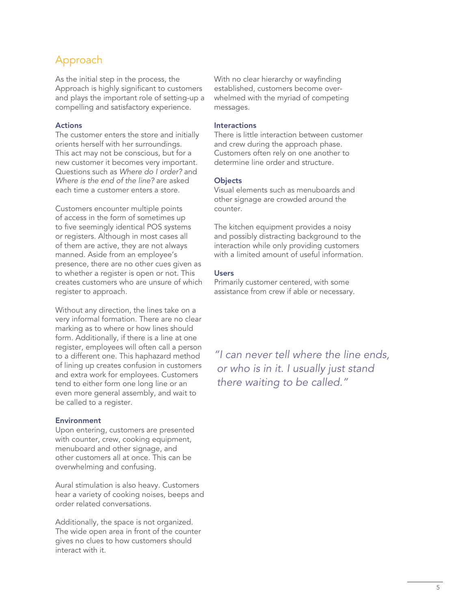### Approach

As the initial step in the process, the Approach is highly significant to customers and plays the important role of setting-up a compelling and satisfactory experience.

### Actions

The customer enters the store and initially orients herself with her surroundings. This act may not be conscious, but for a new customer it becomes very important. Questions such as *Where do I order?* and *Where is the end of the line?* are asked each time a customer enters a store.

Customers encounter multiple points of access in the form of sometimes up to five seemingly identical POS systems or registers. Although in most cases all of them are active, they are not always manned. Aside from an employee's presence, there are no other cues given as to whether a register is open or not. This creates customers who are unsure of which register to approach.

Without any direction, the lines take on a very informal formation. There are no clear marking as to where or how lines should form. Additionally, if there is a line at one register, employees will often call a person to a different one. This haphazard method of lining up creates confusion in customers and extra work for employees. Customers tend to either form one long line or an even more general assembly, and wait to be called to a register.

### **Environment**

Upon entering, customers are presented with counter, crew, cooking equipment, menuboard and other signage, and other customers all at once. This can be overwhelming and confusing.

Aural stimulation is also heavy. Customers hear a variety of cooking noises, beeps and order related conversations.

Additionally, the space is not organized. The wide open area in front of the counter gives no clues to how customers should interact with it.

With no clear hierarchy or wayfinding established, customers become overwhelmed with the myriad of competing messages.

### Interactions

There is little interaction between customer and crew during the approach phase. Customers often rely on one another to determine line order and structure.

### **Objects**

Visual elements such as menuboards and other signage are crowded around the counter.

The kitchen equipment provides a noisy and possibly distracting background to the interaction while only providing customers with a limited amount of useful information.

### Users

Primarily customer centered, with some assistance from crew if able or necessary.

*"I can never tell where the line ends, or who is in it. I usually just stand there waiting to be called."*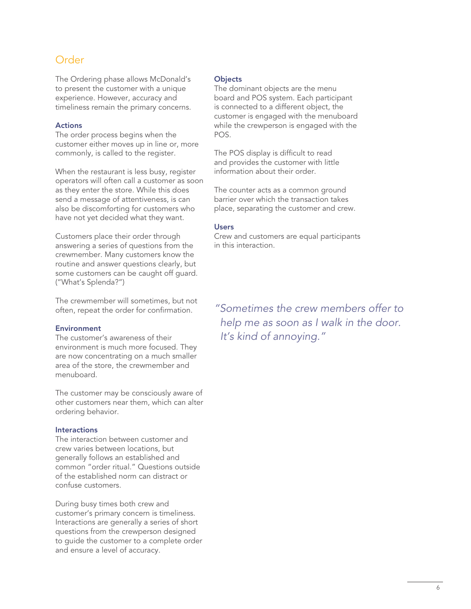### Order

The Ordering phase allows McDonald's to present the customer with a unique experience. However, accuracy and timeliness remain the primary concerns.

### Actions

The order process begins when the customer either moves up in line or, more commonly, is called to the register.

When the restaurant is less busy, register operators will often call a customer as soon as they enter the store. While this does send a message of attentiveness, is can also be discomforting for customers who have not yet decided what they want.

Customers place their order through answering a series of questions from the crewmember. Many customers know the routine and answer questions clearly, but some customers can be caught off guard. ("What's Splenda?")

The crewmember will sometimes, but not often, repeat the order for confirmation.

### Environment

The customer's awareness of their environment is much more focused. They are now concentrating on a much smaller area of the store, the crewmember and menuboard.

The customer may be consciously aware of other customers near them, which can alter ordering behavior.

### **Interactions**

The interaction between customer and crew varies between locations, but generally follows an established and common "order ritual." Questions outside of the established norm can distract or confuse customers.

During busy times both crew and customer's primary concern is timeliness. Interactions are generally a series of short questions from the crewperson designed to guide the customer to a complete order and ensure a level of accuracy.

### **Objects**

The dominant objects are the menu board and POS system. Each participant is connected to a different object, the customer is engaged with the menuboard while the crewperson is engaged with the POS.

The POS display is difficult to read and provides the customer with little information about their order.

The counter acts as a common ground barrier over which the transaction takes place, separating the customer and crew.

### Users

Crew and customers are equal participants in this interaction.

*"Sometimes the crew members offer to help me as soon as I walk in the door. It's kind of annoying."*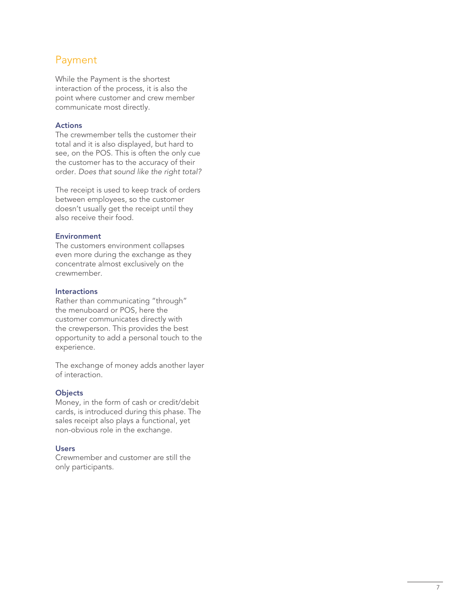### Payment

While the Payment is the shortest interaction of the process, it is also the point where customer and crew member communicate most directly.

### Actions

The crewmember tells the customer their total and it is also displayed, but hard to see, on the POS. This is often the only cue the customer has to the accuracy of their order. *Does that sound like the right total?* 

The receipt is used to keep track of orders between employees, so the customer doesn't usually get the receipt until they also receive their food.

### Environment

The customers environment collapses even more during the exchange as they concentrate almost exclusively on the crewmember.

### Interactions

Rather than communicating "through" the menuboard or POS, here the customer communicates directly with the crewperson. This provides the best opportunity to add a personal touch to the experience.

The exchange of money adds another layer of interaction.

### **Objects**

Money, in the form of cash or credit/debit cards, is introduced during this phase. The sales receipt also plays a functional, yet non-obvious role in the exchange.

### **Users**

Crewmember and customer are still the only participants.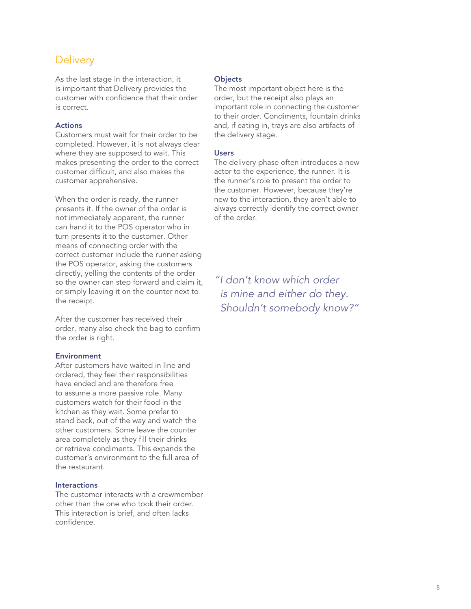### **Delivery**

As the last stage in the interaction, it is important that Delivery provides the customer with confidence that their order is correct.

### Actions

Customers must wait for their order to be completed. However, it is not always clear where they are supposed to wait. This makes presenting the order to the correct customer difficult, and also makes the customer apprehensive.

When the order is ready, the runner presents it. If the owner of the order is not immediately apparent, the runner can hand it to the POS operator who in turn presents it to the customer. Other means of connecting order with the correct customer include the runner asking the POS operator, asking the customers directly, yelling the contents of the order so the owner can step forward and claim it, or simply leaving it on the counter next to the receipt.

After the customer has received their order, many also check the bag to confirm the order is right.

### Environment

After customers have waited in line and ordered, they feel their responsibilities have ended and are therefore free to assume a more passive role. Many customers watch for their food in the kitchen as they wait. Some prefer to stand back, out of the way and watch the other customers. Some leave the counter area completely as they fill their drinks or retrieve condiments. This expands the customer's environment to the full area of the restaurant.

#### **Interactions**

The customer interacts with a crewmember other than the one who took their order. This interaction is brief, and often lacks confidence.

#### **Objects**

The most important object here is the order, but the receipt also plays an important role in connecting the customer to their order. Condiments, fountain drinks and, if eating in, trays are also artifacts of the delivery stage.

#### Users

The delivery phase often introduces a new actor to the experience, the runner. It is the runner's role to present the order to the customer. However, because they're new to the interaction, they aren't able to always correctly identify the correct owner of the order.

*"I don't know which order is mine and either do they. Shouldn't somebody know?"*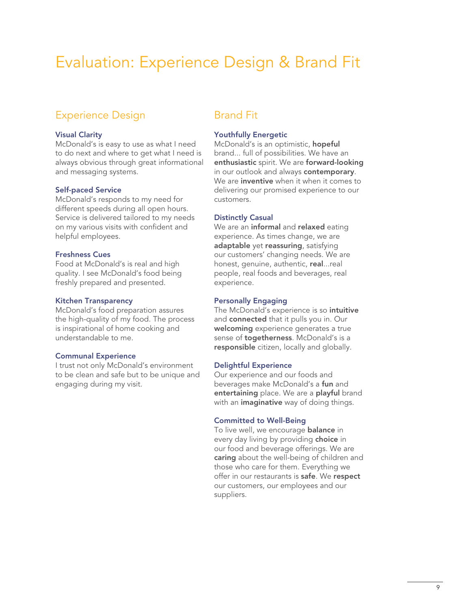## Evaluation: Experience Design & Brand Fit

### Experience Design

### Visual Clarity

McDonald's is easy to use as what I need to do next and where to get what I need is always obvious through great informational and messaging systems.

#### Self-paced Service

McDonald's responds to my need for different speeds during all open hours. Service is delivered tailored to my needs on my various visits with confident and helpful employees.

#### Freshness Cues

Food at McDonald's is real and high quality. I see McDonald's food being freshly prepared and presented.

#### Kitchen Transparency

McDonald's food preparation assures the high-quality of my food. The process is inspirational of home cooking and understandable to me.

#### Communal Experience

I trust not only McDonald's environment to be clean and safe but to be unique and engaging during my visit.

### Brand Fit

### Youthfully Energetic

McDonald's is an optimistic, hopeful brand... full of possibilities. We have an enthusiastic spirit. We are forward-looking in our outlook and always contemporary. We are **inventive** when it when it comes to delivering our promised experience to our customers.

### Distinctly Casual

We are an **informal** and **relaxed** eating experience. As times change, we are adaptable yet reassuring, satisfying our customers' changing needs. We are honest, genuine, authentic, real...real people, real foods and beverages, real experience.

### Personally Engaging

The McDonald's experience is so intuitive and connected that it pulls you in. Our welcoming experience generates a true sense of **togetherness**. McDonald's is a responsible citizen, locally and globally.

### Delightful Experience

Our experience and our foods and beverages make McDonald's a fun and entertaining place. We are a playful brand with an *imaginative* way of doing things.

### Committed to Well-Being

To live well, we encourage **balance** in every day living by providing choice in our food and beverage offerings. We are caring about the well-being of children and those who care for them. Everything we offer in our restaurants is safe. We respect our customers, our employees and our suppliers.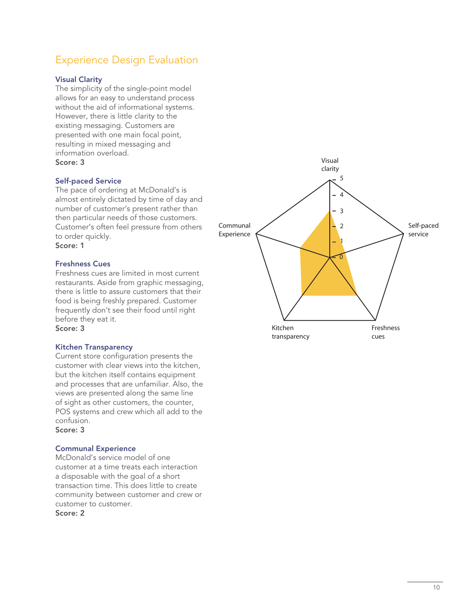### Experience Design Evaluation

### Visual Clarity

The simplicity of the single-point model allows for an easy to understand process without the aid of informational systems. However, there is little clarity to the existing messaging. Customers are presented with one main focal point, resulting in mixed messaging and information overload. Score: 3

### Self-paced Service

The pace of ordering at McDonald's is almost entirely dictated by time of day and number of customer's present rather than then particular needs of those customers. Customer's often feel pressure from others to order quickly. Score: 1

### Freshness Cues

Freshness cues are limited in most current restaurants. Aside from graphic messaging, there is little to assure customers that their food is being freshly prepared. Customer frequently don't see their food until right before they eat it. Score: 3

### Kitchen Transparency

Current store configuration presents the customer with clear views into the kitchen, but the kitchen itself contains equipment and processes that are unfamiliar. Also, the views are presented along the same line of sight as other customers, the counter, POS systems and crew which all add to the confusion.

### Score: 3

### Communal Experience

McDonald's service model of one customer at a time treats each interaction a disposable with the goal of a short transaction time. This does little to create community between customer and crew or customer to customer.

Score: 2

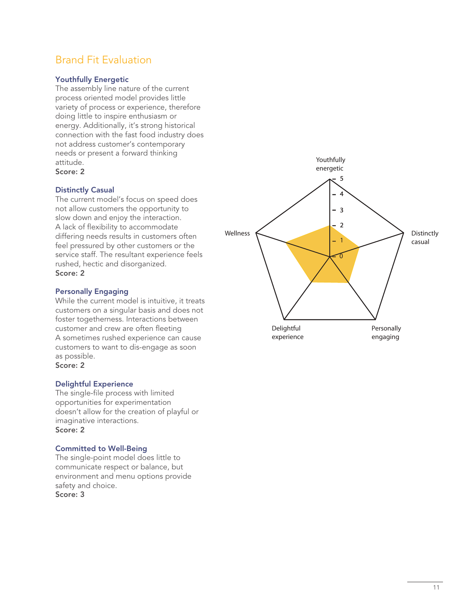### Brand Fit Evaluation

### Youthfully Energetic

The assembly line nature of the current process oriented model provides little variety of process or experience, therefore doing little to inspire enthusiasm or energy. Additionally, it's strong historical connection with the fast food industry does not address customer's contemporary needs or present a forward thinking attitude. Score: 2

### Distinctly Casual

The current model's focus on speed does not allow customers the opportunity to slow down and enjoy the interaction. A lack of flexibility to accommodate differing needs results in customers often feel pressured by other customers or the service staff. The resultant experience feels rushed, hectic and disorganized. Score: 2

### Personally Engaging

While the current model is intuitive, it treats customers on a singular basis and does not foster togetherness. Interactions between customer and crew are often fleeting A sometimes rushed experience can cause customers to want to dis-engage as soon as possible.

Score: 2

### Delightful Experience

The single-file process with limited opportunities for experimentation doesn't allow for the creation of playful or imaginative interactions. Score: 2

### Committed to Well-Being

The single-point model does little to communicate respect or balance, but environment and menu options provide safety and choice. Score: 3

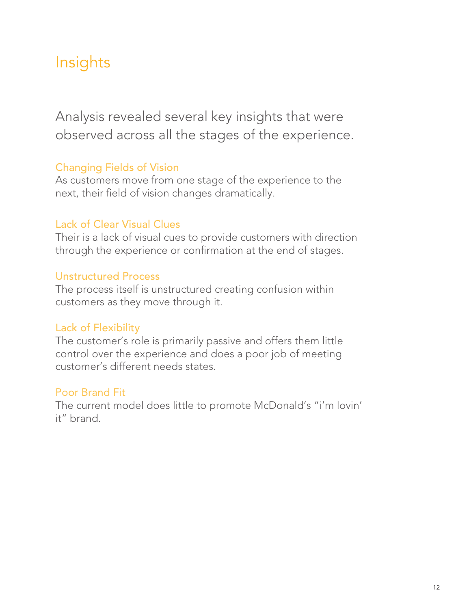## Insights

Analysis revealed several key insights that were observed across all the stages of the experience.

### Changing Fields of Vision

As customers move from one stage of the experience to the next, their field of vision changes dramatically.

### Lack of Clear Visual Clues

Their is a lack of visual cues to provide customers with direction through the experience or confirmation at the end of stages.

### Unstructured Process

The process itself is unstructured creating confusion within customers as they move through it.

### Lack of Flexibility

The customer's role is primarily passive and offers them little control over the experience and does a poor job of meeting customer's different needs states.

### Poor Brand Fit

The current model does little to promote McDonald's "i'm lovin' it" brand.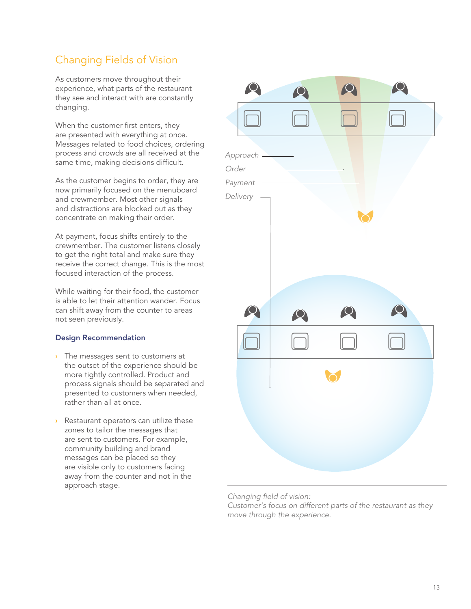### Changing Fields of Vision

As customers move throughout their experience, what parts of the restaurant they see and interact with are constantly changing.

When the customer first enters, they are presented with everything at once. Messages related to food choices, ordering process and crowds are all received at the same time, making decisions difficult.

As the customer begins to order, they are now primarily focused on the menuboard and crewmember. Most other signals and distractions are blocked out as they concentrate on making their order.

At payment, focus shifts entirely to the crewmember. The customer listens closely to get the right total and make sure they receive the correct change. This is the most focused interaction of the process.

While waiting for their food, the customer is able to let their attention wander. Focus can shift away from the counter to areas not seen previously.

### Design Recommendation

- The messages sent to customers at **›** the outset of the experience should be more tightly controlled. Product and process signals should be separated and presented to customers when needed, rather than all at once.
- Restaurant operators can utilize these **›** zones to tailor the messages that are sent to customers. For example, community building and brand messages can be placed so they are visible only to customers facing away from the counter and not in the approach stage.



*Changing field of vision: Customer's focus on different parts of the restaurant as they move through the experience.*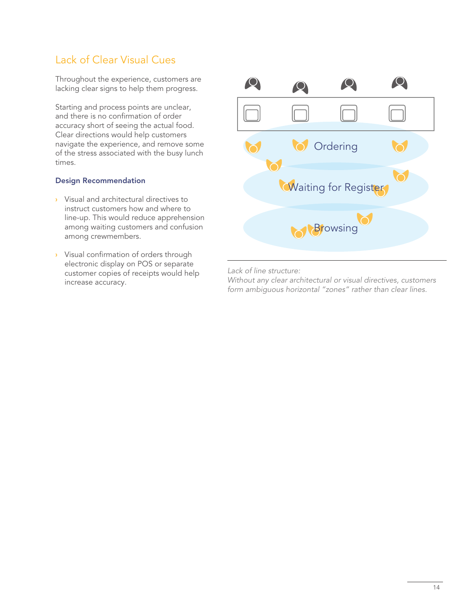### Lack of Clear Visual Cues

Throughout the experience, customers are lacking clear signs to help them progress.

Starting and process points are unclear, and there is no confirmation of order accuracy short of seeing the actual food. Clear directions would help customers navigate the experience, and remove some of the stress associated with the busy lunch times.

### Design Recommendation

- Visual and architectural directives to **›** instruct customers how and where to line-up. This would reduce apprehension among waiting customers and confusion among crewmembers.
- Visual confirmation of orders through **›** electronic display on POS or separate customer copies of receipts would help increase accuracy.



*Lack of line structure:*

*Without any clear architectural or visual directives, customers form ambiguous horizontal "zones" rather than clear lines.*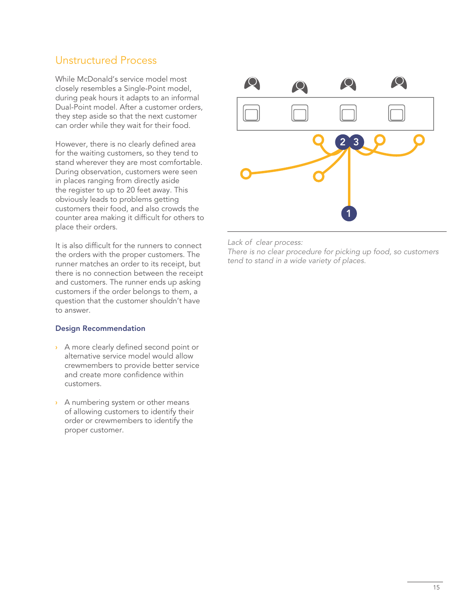### Unstructured Process

While McDonald's service model most closely resembles a Single-Point model, during peak hours it adapts to an informal Dual-Point model. After a customer orders, they step aside so that the next customer can order while they wait for their food.

However, there is no clearly defined area for the waiting customers, so they tend to stand wherever they are most comfortable. During observation, customers were seen in places ranging from directly aside the register to up to 20 feet away. This obviously leads to problems getting customers their food, and also crowds the counter area making it difficult for others to place their orders.

It is also difficult for the runners to connect the orders with the proper customers. The runner matches an order to its receipt, but there is no connection between the receipt and customers. The runner ends up asking customers if the order belongs to them, a question that the customer shouldn't have to answer.

### Design Recommendation

- A more clearly defined second point or **›** alternative service model would allow crewmembers to provide better service and create more confidence within customers.
- A numbering system or other means **›** of allowing customers to identify their order or crewmembers to identify the proper customer.



*Lack of clear process:*

*There is no clear procedure for picking up food, so customers tend to stand in a wide variety of places.*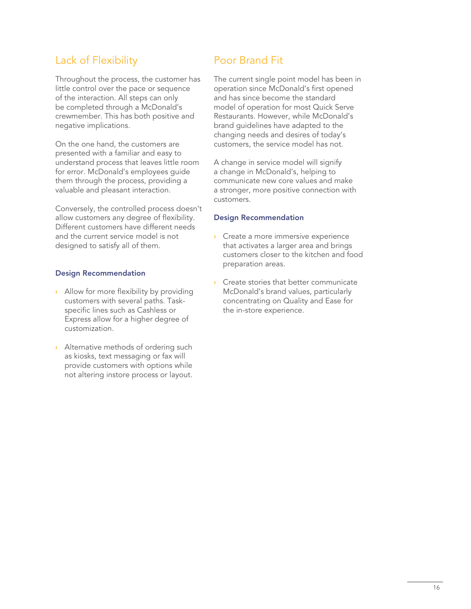### Lack of Flexibility

Throughout the process, the customer has little control over the pace or sequence of the interaction. All steps can only be completed through a McDonald's crewmember. This has both positive and negative implications.

On the one hand, the customers are presented with a familiar and easy to understand process that leaves little room for error. McDonald's employees guide them through the process, providing a valuable and pleasant interaction.

Conversely, the controlled process doesn't allow customers any degree of flexibility. Different customers have different needs and the current service model is not designed to satisfy all of them.

### Design Recommendation

- Allow for more flexibility by providing **›** customers with several paths. Taskspecific lines such as Cashless or Express allow for a higher degree of customization.
- Alternative methods of ordering such **›** as kiosks, text messaging or fax will provide customers with options while not altering instore process or layout.

### Poor Brand Fit

The current single point model has been in operation since McDonald's first opened and has since become the standard model of operation for most Quick Serve Restaurants. However, while McDonald's brand guidelines have adapted to the changing needs and desires of today's customers, the service model has not.

A change in service model will signify a change in McDonald's, helping to communicate new core values and make a stronger, more positive connection with customers.

### Design Recommendation

- Create a more immersive experience **›** that activates a larger area and brings customers closer to the kitchen and food preparation areas.
- Create stories that better communicate McDonald's brand values, particularly concentrating on Quality and Ease for the in-store experience. **›**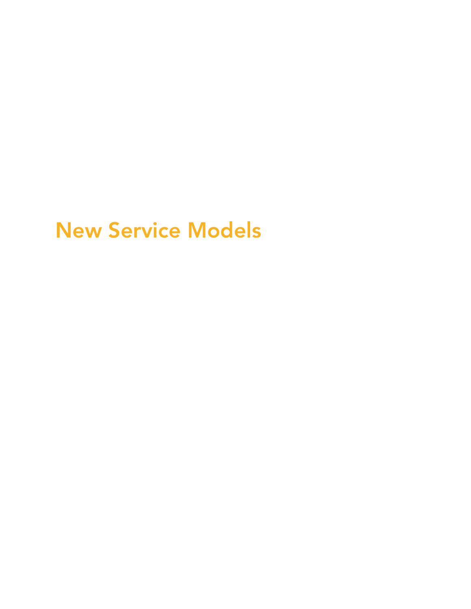# New Service Models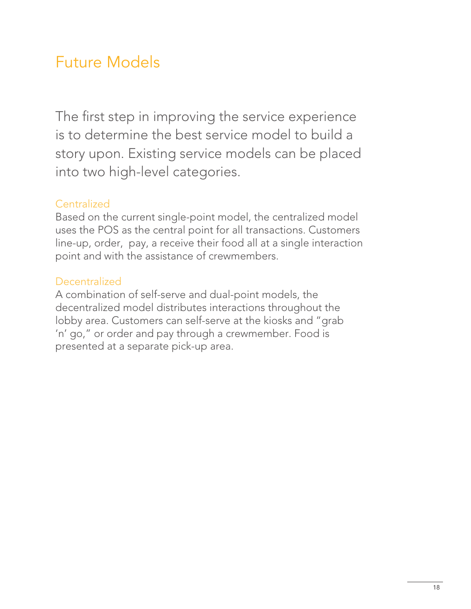## Future Models

The first step in improving the service experience is to determine the best service model to build a story upon. Existing service models can be placed into two high-level categories.

### **Centralized**

Based on the current single-point model, the centralized model uses the POS as the central point for all transactions. Customers line-up, order, pay, a receive their food all at a single interaction point and with the assistance of crewmembers.

### **Decentralized**

A combination of self-serve and dual-point models, the decentralized model distributes interactions throughout the lobby area. Customers can self-serve at the kiosks and "grab 'n' go," or order and pay through a crewmember. Food is presented at a separate pick-up area.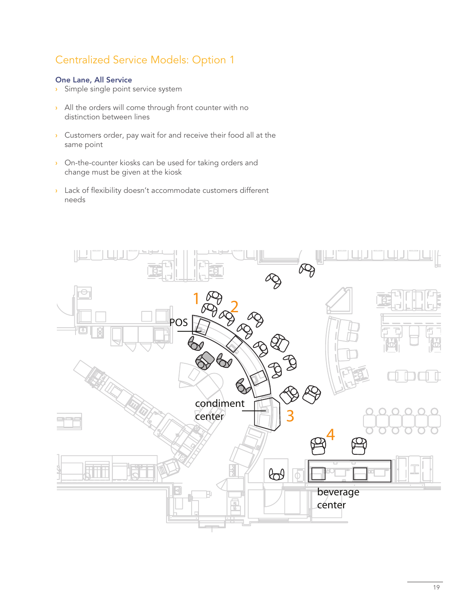### Centralized Service Models: Option 1

### One Lane, All Service

- Simple single point service system **›**
- All the orders will come through front counter with no **›** distinction between lines
- Customers order, pay wait for and receive their food all at the **›** same point
- On-the-counter kiosks can be used for taking orders and **›** change must be given at the kiosk
- Lack of flexibility doesn't accommodate customers different **›** needs

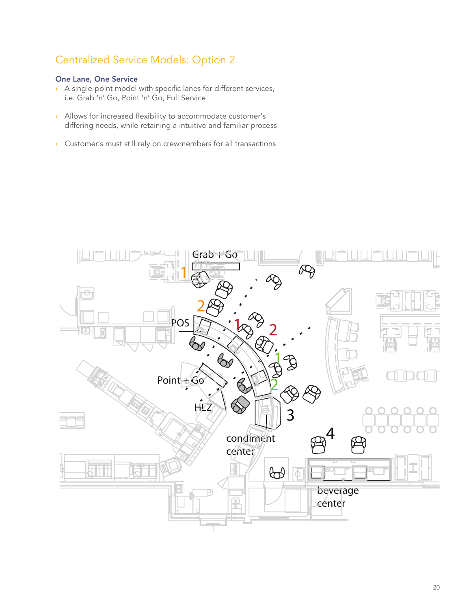### Centralized Service Models: Option 2

### One Lane, One Service

- A single-point model with specific lanes for different services, **›** i.e. Grab 'n' Go, Point 'n' Go, Full Service
- Allows for increased flexibility to accommodate customer's **›** differing needs, while retaining a intuitive and familiar process
- Customer's must still rely on crewmembers for all transactions **›**

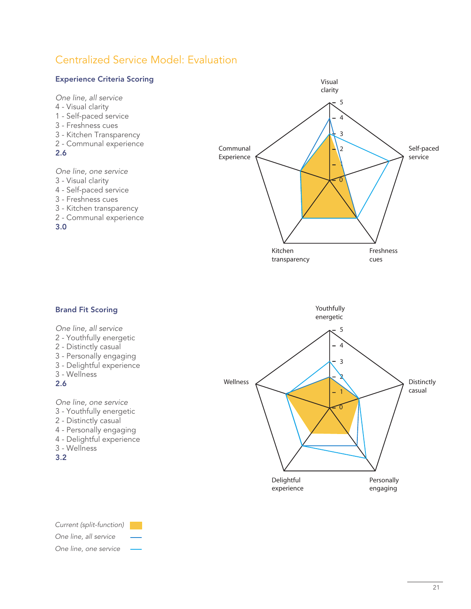### Centralized Service Model: Evaluation



- 4 Delightful experience
- 3 Wellness
- 
- 3.2



*Current (split-function) One line, all service One line, one service*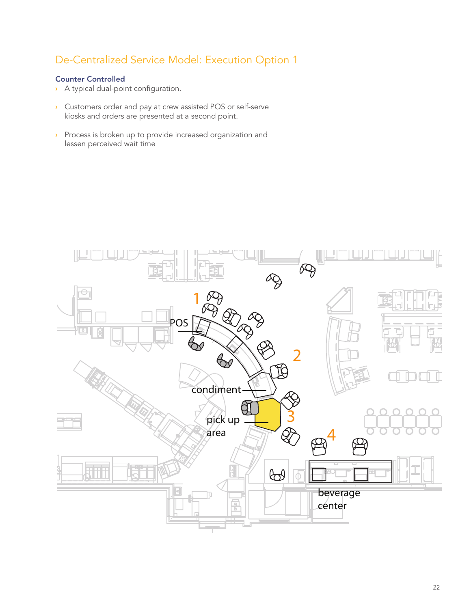### De-Centralized Service Model: Execution Option 1

### Counter Controlled

- A typical dual-point configuration. **›**
- Customers order and pay at crew assisted POS or self-serve kiosks and orders are presented at a second point. **›**
- Process is broken up to provide increased organization and **›** lessen perceived wait time

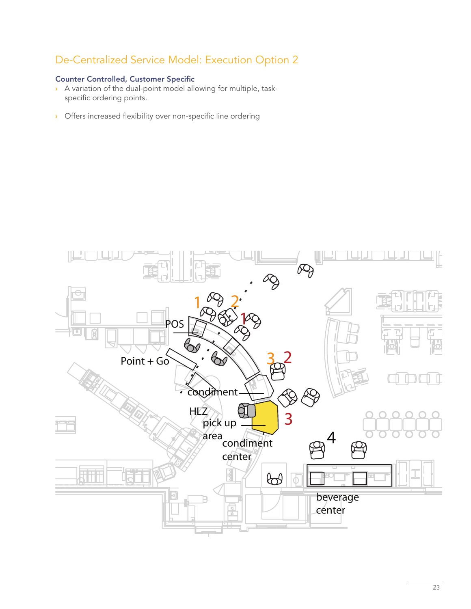### De-Centralized Service Model: Execution Option 2

### Counter Controlled, Customer Specific

- A variation of the dual-point model allowing for multiple, task-**›** specific ordering points.
- Offers increased flexibility over non-specific line ordering **›**

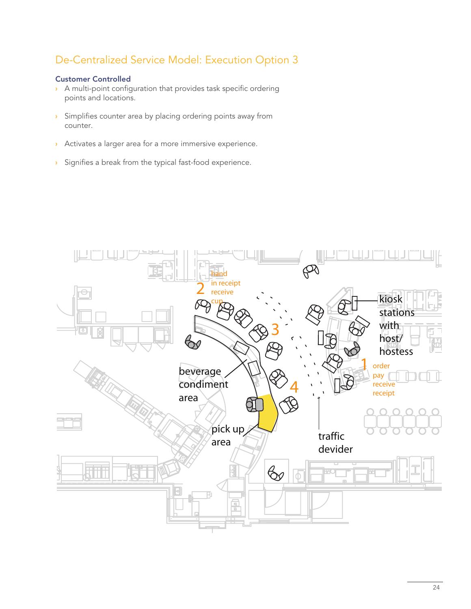### De-Centralized Service Model: Execution Option 3

### Customer Controlled

- A multi-point configuration that provides task specific ordering **›** points and locations.
- Simplifies counter area by placing ordering points away from **›** counter.
- Activates a larger area for a more immersive experience. **›**
- Signifies a break from the typical fast-food experience. **›**

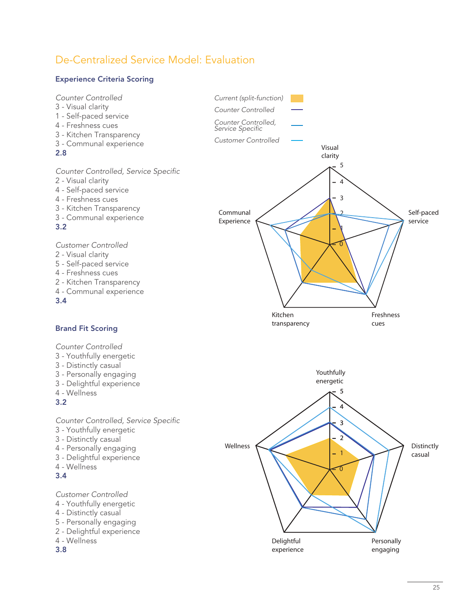### De-Centralized Service Model: Evaluation

### Experience Criteria Scoring

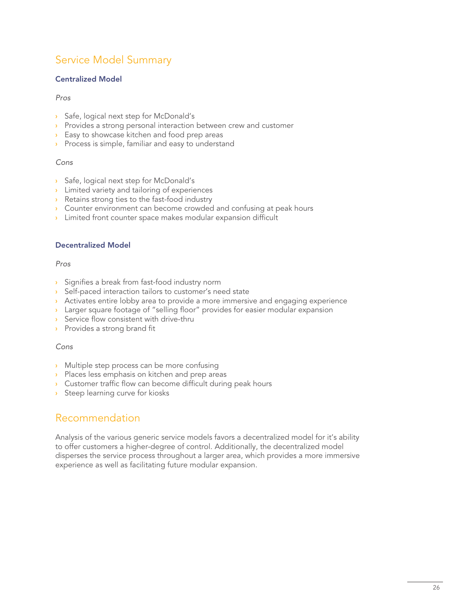### Service Model Summary

### Centralized Model

### *Pros*

- Safe, logical next step for McDonald's **›**
- Provides a strong personal interaction between crew and customer **›**
- Easy to showcase kitchen and food prep areas **›**
- Process is simple, familiar and easy to understand **›**

### *Cons*

- Safe, logical next step for McDonald's **›**
- Limited variety and tailoring of experiences **›**
- Retains strong ties to the fast-food industry **›**
- Counter environment can become crowded and confusing at peak hours **›**
- Limited front counter space makes modular expansion difficult **›**

### Decentralized Model

### *Pros*

- Signifies a break from fast-food industry norm **›**
- Self-paced interaction tailors to customer's need state **›**
- Activates entire lobby area to provide a more immersive and engaging experience **›**
- Larger square footage of "selling floor" provides for easier modular expansion **›**
- Service flow consistent with drive-thru **›**
- Provides a strong brand fit **›**

### *Cons*

- Multiple step process can be more confusing **›**
- Places less emphasis on kitchen and prep areas **›**
- Customer traffic flow can become difficult during peak hours **›**
- Steep learning curve for kiosks **›**

### Recommendation

Analysis of the various generic service models favors a decentralized model for it's ability to offer customers a higher-degree of control. Additionally, the decentralized model disperses the service process throughout a larger area, which provides a more immersive experience as well as facilitating future modular expansion.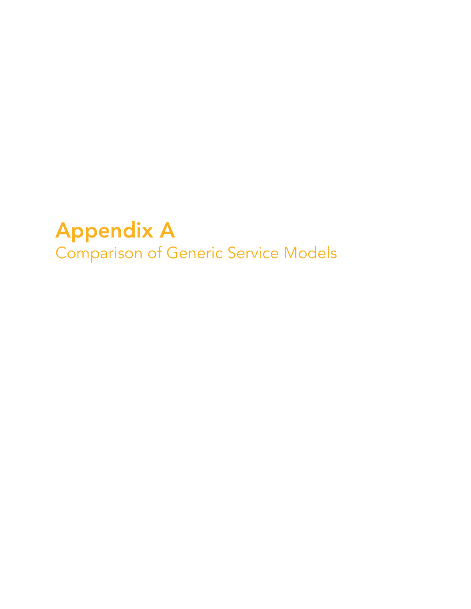# Appendix A Comparison of Generic Service Models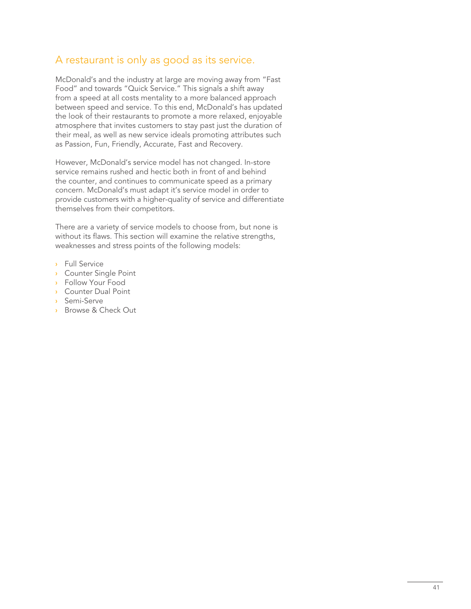### A restaurant is only as good as its service.

McDonald's and the industry at large are moving away from "Fast Food" and towards "Quick Service." This signals a shift away from a speed at all costs mentality to a more balanced approach between speed and service. To this end, McDonald's has updated the look of their restaurants to promote a more relaxed, enjoyable atmosphere that invites customers to stay past just the duration of their meal, as well as new service ideals promoting attributes such as Passion, Fun, Friendly, Accurate, Fast and Recovery.

However, McDonald's service model has not changed. In-store service remains rushed and hectic both in front of and behind the counter, and continues to communicate speed as a primary concern. McDonald's must adapt it's service model in order to provide customers with a higher-quality of service and differentiate themselves from their competitors.

There are a variety of service models to choose from, but none is without its flaws. This section will examine the relative strengths, weaknesses and stress points of the following models:

- Full Service **›**
- Counter Single Point **›**
- Follow Your Food **›**
- Counter Dual Point **›**
- Semi-Serve **›**
- Browse & Check Out **›**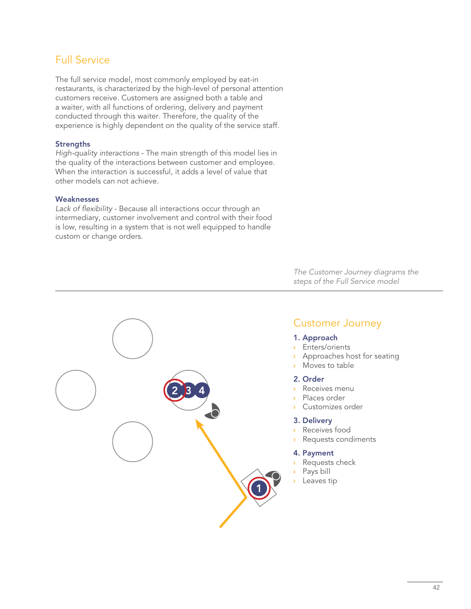### Full Service

The full service model, most commonly employed by eat-in restaurants, is characterized by the high-level of personal attention customers receive. Customers are assigned both a table and a waiter, with all functions of ordering, delivery and payment conducted through this waiter. Therefore, the quality of the experience is highly dependent on the quality of the service staff.

### **Strengths**

*High-quality interactions* - The main strength of this model lies in the quality of the interactions between customer and employee. When the interaction is successful, it adds a level of value that other models can not achieve.

### **Weaknesses**

*Lack of flexibility* - Because all interactions occur through an intermediary, customer involvement and control with their food is low, resulting in a system that is not well equipped to handle custom or change orders.

> *The Customer Journey diagrams the steps of the Full Service model*

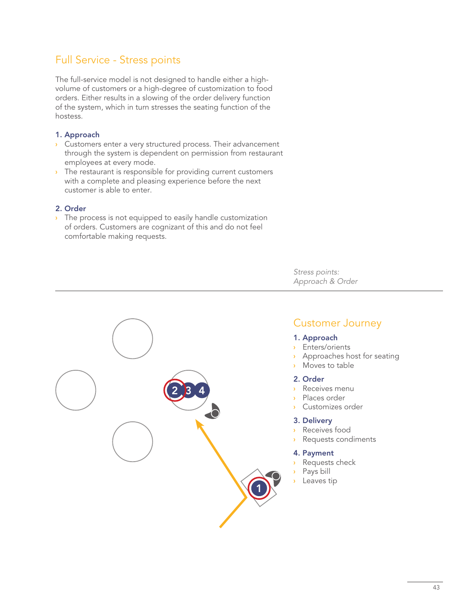### Full Service - Stress points

The full-service model is not designed to handle either a highvolume of customers or a high-degree of customization to food orders. Either results in a slowing of the order delivery function of the system, which in turn stresses the seating function of the hostess.

### 1. Approach

- Customers enter a very structured process. Their advancement **›** through the system is dependent on permission from restaurant employees at every mode.
- The restaurant is responsible for providing current customers **›** with a complete and pleasing experience before the next customer is able to enter.

### 2. Order

The process is not equipped to easily handle customization **›** of orders. Customers are cognizant of this and do not feel comfortable making requests.

> *Stress points: Approach & Order*



### Customer Journey

### 1. Approach

- Enters/orients **›**
- Approaches host for seating **›**
- Moves to table
- 2. Order
- Receives menu **›**
- Places order
- Customizes order

#### 3. Delivery

- Receives food **›**
- Requests condiments

#### 4. Payment

- Requests check
- Pays bill
- Leaves tip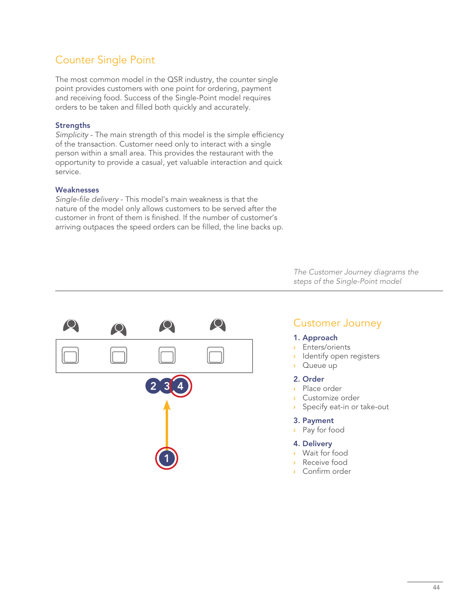### Counter Single Point

The most common model in the QSR industry, the counter single point provides customers with one point for ordering, payment and receiving food. Success of the Single-Point model requires orders to be taken and filled both quickly and accurately.

### **Strengths**

*Simplicity* - The main strength of this model is the simple efficiency of the transaction. Customer need only to interact with a single person within a small area. This provides the restaurant with the opportunity to provide a casual, yet valuable interaction and quick service.

### **Weaknesses**

*Single-file delivery* - This model's main weakness is that the nature of the model only allows customers to be served after the customer in front of them is finished. If the number of customer's arriving outpaces the speed orders can be filled, the line backs up.



*The Customer Journey diagrams the steps of the Single-Point model*

### Customer Journey

#### 1. Approach

- Enters/orients **›**
- **›** Identify open registers
- Queue up **›**

### 2. Order

- Place order **›**
- Customize order **›**
- Specify eat-in or take-out **›**

#### 3. Payment

Pay for food **›**

### 4. Delivery

- Wait for food **›**
- Receive food **›**
- Confirm order **›**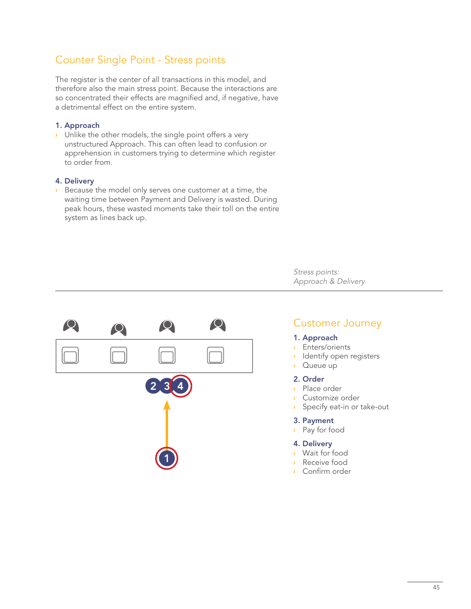### Counter Single Point - Stress points

The register is the center of all transactions in this model, and therefore also the main stress point. Because the interactions are so concentrated their effects are magnified and, if negative, have a detrimental effect on the entire system.

### 1. Approach

Unlike the other models, the single point offers a very **›** unstructured Approach. This can often lead to confusion or apprehension in customers trying to determine which register to order from.

#### 4. Delivery

Because the model only serves one customer at a time, the waiting time between Payment and Delivery is wasted. During peak hours, these wasted moments take their toll on the entire system as lines back up. **›**

1  $2, 3, 4$  *Stress points: Approach & Delivery*

### Customer Journey

#### 1. Approach

- Enters/orients **›**
- **›** Identify open registers
- Queue up **›**
- 2. Order
- Place order **›**
- Customize order **›**
- Specify eat-in or take-out **›**

#### 3. Payment

Pay for food **›**

### 4. Delivery

- Wait for food **›**
- Receive food **›**
- Confirm order **›**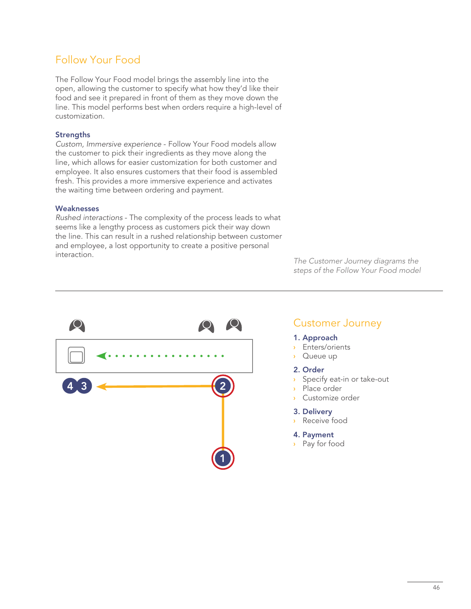### Follow Your Food

The Follow Your Food model brings the assembly line into the open, allowing the customer to specify what how they'd like their food and see it prepared in front of them as they move down the line. This model performs best when orders require a high-level of customization.

### **Strengths**

*Custom, Immersive experience* - Follow Your Food models allow the customer to pick their ingredients as they move along the line, which allows for easier customization for both customer and employee. It also ensures customers that their food is assembled fresh. This provides a more immersive experience and activates the waiting time between ordering and payment.

### **Weaknesses**

*Rushed interactions* - The complexity of the process leads to what seems like a lengthy process as customers pick their way down the line. This can result in a rushed relationship between customer and employee, a lost opportunity to create a positive personal interaction.

*The Customer Journey diagrams the steps of the Follow Your Food model*



### Customer Journey

#### 1. Approach

- Enters/orients **›**
- Queue up **›**

### 2. Order

- Specify eat-in or take-out **›**
- Place order **›**
- Customize order **›**
- 3. Delivery
- Receive food **›**

#### 4. Payment

Pay for food **›**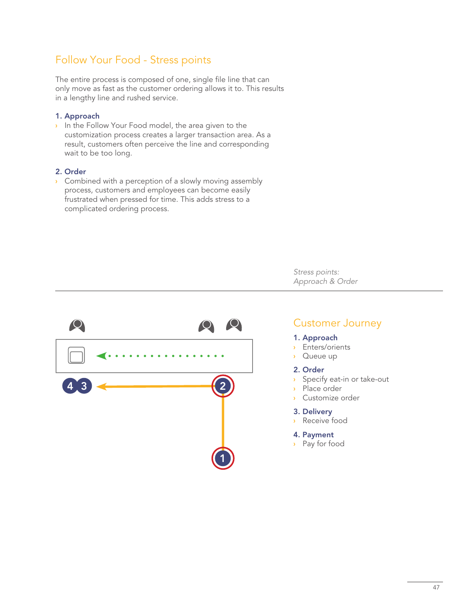### Follow Your Food - Stress points

The entire process is composed of one, single file line that can only move as fast as the customer ordering allows it to. This results in a lengthy line and rushed service.

### 1. Approach

In the Follow Your Food model, the area given to the **›** customization process creates a larger transaction area. As a result, customers often perceive the line and corresponding wait to be too long.

### 2. Order

Combined with a perception of a slowly moving assembly **›** process, customers and employees can become easily frustrated when pressed for time. This adds stress to a complicated ordering process.

> *Stress points: Approach & Order*



### Customer Journey

#### 1. Approach

- Enters/orients **›**
- Queue up **›**

### 2. Order

- Specify eat-in or take-out **›**
- Place order **›**
- Customize order **›**
- 3. Delivery
- Receive food **›**

#### 4. Payment

Pay for food **›**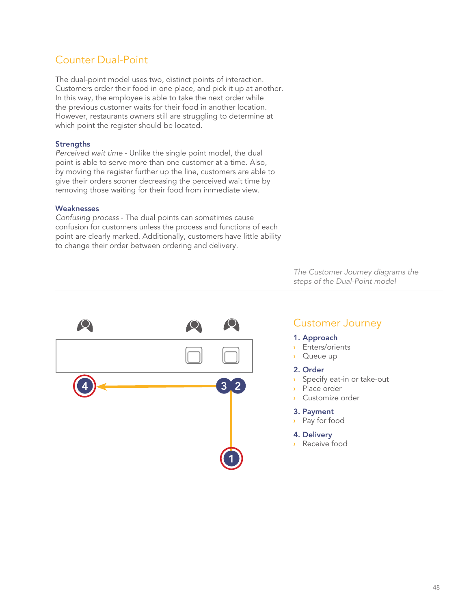### Counter Dual-Point

The dual-point model uses two, distinct points of interaction. Customers order their food in one place, and pick it up at another. In this way, the employee is able to take the next order while the previous customer waits for their food in another location. However, restaurants owners still are struggling to determine at which point the register should be located.

### **Strengths**

*Perceived wait time* - Unlike the single point model, the dual point is able to serve more than one customer at a time. Also, by moving the register further up the line, customers are able to give their orders sooner decreasing the perceived wait time by removing those waiting for their food from immediate view.

#### **Weaknesses**

*Confusing process* - The dual points can sometimes cause confusion for customers unless the process and functions of each point are clearly marked. Additionally, customers have little ability to change their order between ordering and delivery.

> *The Customer Journey diagrams the steps of the Dual-Point model*



### Customer Journey

#### 1. Approach

- Enters/orients **›**
- Queue up **›**

### 2. Order

- Specify eat-in or take-out **›**
- Place order **›**
- Customize order **›**

#### 3. Payment

Pay for food **›**

#### 4. Delivery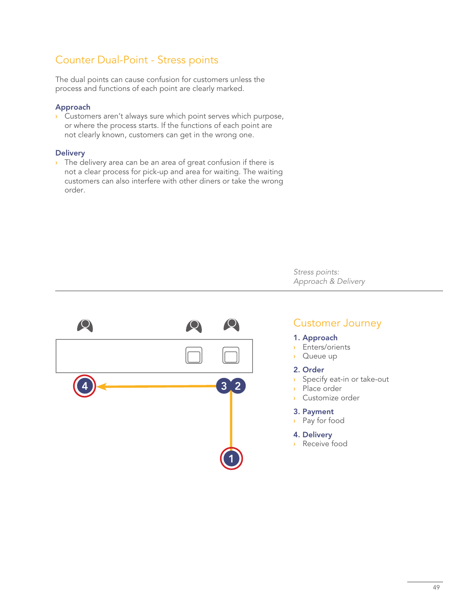### Counter Dual-Point - Stress points

The dual points can cause confusion for customers unless the process and functions of each point are clearly marked.

### Approach

Customers aren't always sure which point serves which purpose, **›** or where the process starts. If the functions of each point are not clearly known, customers can get in the wrong one.

#### **Delivery**

The delivery area can be an area of great confusion if there is **›** not a clear process for pick-up and area for waiting. The waiting customers can also interfere with other diners or take the wrong order.

> *Stress points: Approach & Delivery*



### Customer Journey

#### 1. Approach

- Enters/orients **›**
- Queue up **›**

### 2. Order

- Specify eat-in or take-out **›**
- Place order **›**
- Customize order **›**

#### 3. Payment

Pay for food **›**

### 4. Delivery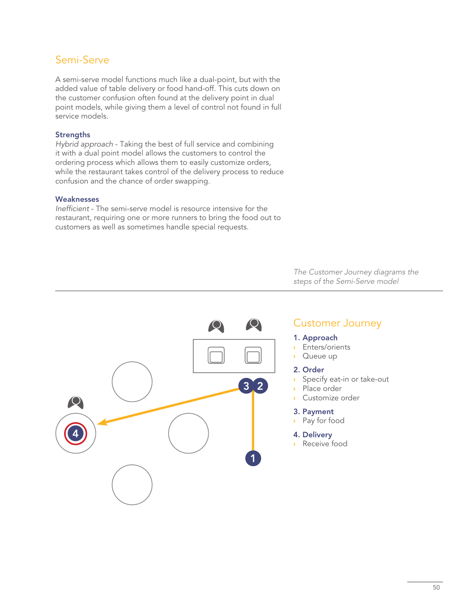### Semi-Serve

A semi-serve model functions much like a dual-point, but with the added value of table delivery or food hand-off. This cuts down on the customer confusion often found at the delivery point in dual point models, while giving them a level of control not found in full service models.

### **Strengths**

*Hybrid approach* - Taking the best of full service and combining it with a dual point model allows the customers to control the ordering process which allows them to easily customize orders, while the restaurant takes control of the delivery process to reduce confusion and the chance of order swapping.

### **Weaknesses**

*Inefficient* - The semi-serve model is resource intensive for the restaurant, requiring one or more runners to bring the food out to customers as well as sometimes handle special requests.

> *The Customer Journey diagrams the steps of the Semi-Serve model*



### Customer Journey

### 1. Approach

- Enters/orients **›**
- Queue up **›**

### 2. Order

- Specify eat-in or take-out **›**
- Place order **›**
- Customize order **›**

### 3. Payment

Pay for food **›**

### 4. Delivery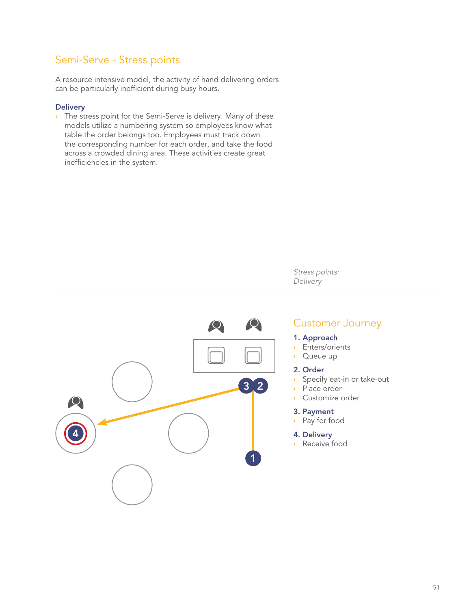### Semi-Serve - Stress points

A resource intensive model, the activity of hand delivering orders can be particularly inefficient during busy hours.

### **Delivery**

The stress point for the Semi-Serve is delivery. Many of these **›** models utilize a numbering system so employees know what table the order belongs too. Employees must track down the corresponding number for each order, and take the food across a crowded dining area. These activities create great inefficiencies in the system.

> *Stress points: Delivery*



### Customer Journey

### 1. Approach

- Enters/orients **›**
- Queue up **›**

### 2. Order

- Specify eat-in or take-out **›**
- Place order **›**
- Customize order **›**

### 3. Payment

Pay for food **›**

### 4. Delivery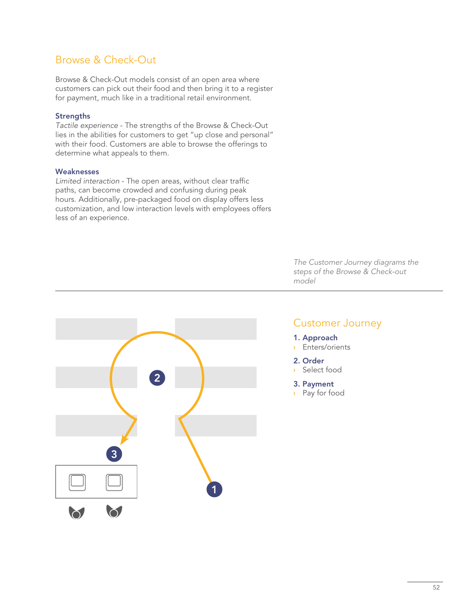### Browse & Check-Out

Browse & Check-Out models consist of an open area where customers can pick out their food and then bring it to a register for payment, much like in a traditional retail environment.

### **Strengths**

*Tactile experience* - The strengths of the Browse & Check-Out lies in the abilities for customers to get "up close and personal" with their food. Customers are able to browse the offerings to determine what appeals to them.

### **Weaknesses**

*Limited interaction* - The open areas, without clear traffic paths, can become crowded and confusing during peak hours. Additionally, pre-packaged food on display offers less customization, and low interaction levels with employees offers less of an experience.



### *The Customer Journey diagrams the steps of the Browse & Check-out model*

### Customer Journey

- 1. Approach
- Enters/orients **›**
- 2. Order
- Select food **›**
- 3. Payment
- Pay for food **›**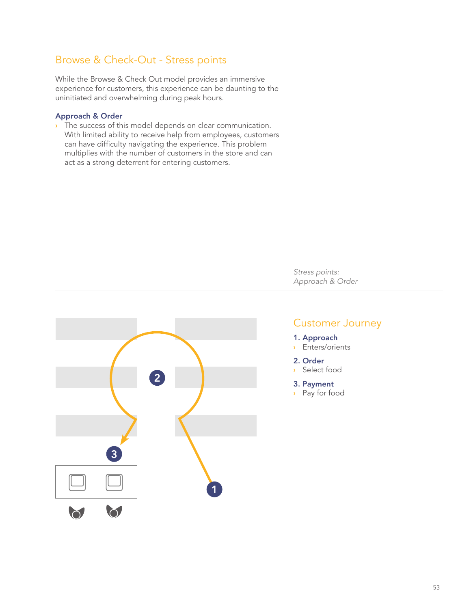### Browse & Check-Out - Stress points

While the Browse & Check Out model provides an immersive experience for customers, this experience can be daunting to the uninitiated and overwhelming during peak hours.

### Approach & Order

The success of this model depends on clear communication. **›** With limited ability to receive help from employees, customers can have difficulty navigating the experience. This problem multiplies with the number of customers in the store and can act as a strong deterrent for entering customers.



# *Approach & Order*

### Customer Journey

1. Approach

*Stress points:*

- Enters/orients **›**
- 2. Order
- Select food **›**
- 3. Payment
- Pay for food **›**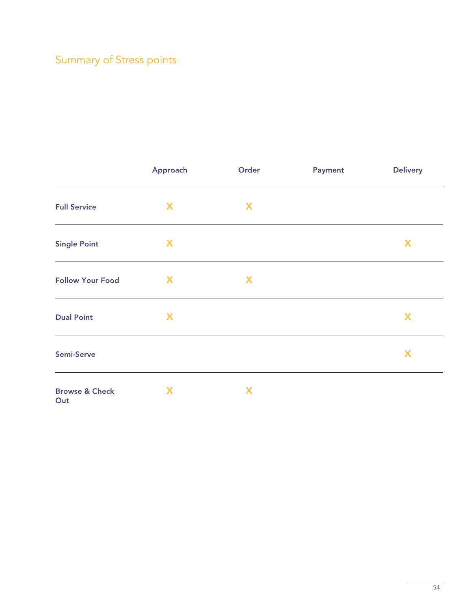## Summary of Stress points

|                           | Approach | Order | <b>Payment</b> | <b>Delivery</b> |
|---------------------------|----------|-------|----------------|-----------------|
| <b>Full Service</b>       | X        | X     |                |                 |
| <b>Single Point</b>       | X        |       |                | X               |
| <b>Follow Your Food</b>   | X        | X     |                |                 |
| <b>Dual Point</b>         | X        |       |                | X               |
| Semi-Serve                |          |       |                | X               |
| <b>Browse &amp; Check</b> | X        | X     |                |                 |

**Out**